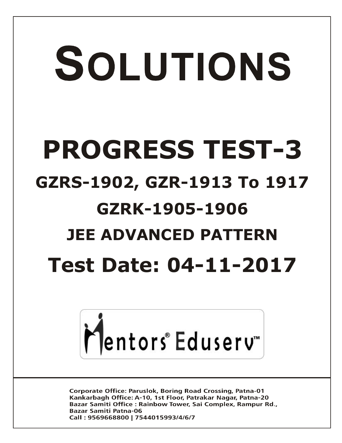# SOLUTIONS **PROGRESS TEST-3 GZRS-1902, GZR-1913 To 1917 GZRK-1905-1906 JEE ADVANCED PATTERN Test Date: 04-11-2017**



**Corporate Office: Paruslok, Boring Road Crossing, Patna-01** Kankarbagh Office: A-10, 1st Floor, Patrakar Nagar, Patna-20 Bazar Samiti Office: Rainbow Tower, Sai Complex, Rampur Rd., **Bazar Samiti Patna-06** Call: 9569668800 | 7544015993/4/6/7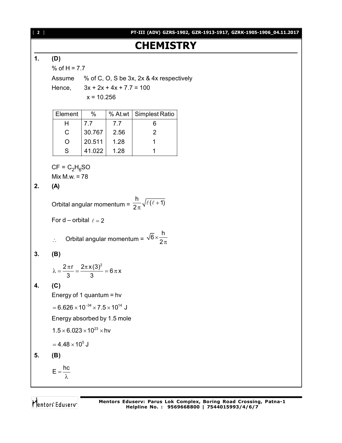[ **2** ] **PT-III (ADV) GZRS-1902, GZR-1913-1917, GZRK-1905-1906\_04.11.2017**

# **CHEMISTRY**

#### **1. (D)**

% of  $H = 7.7$ 

Assume % of C, O, S be 3x, 2x & 4x respectively

Hence,  $3x + 2x + 4x + 7.7 = 100$ 

 $x = 10.256$ 

| Element | %      |      | % At.wt   Simplest Ratio |
|---------|--------|------|--------------------------|
|         | 7.7    | 7.7  |                          |
| C       | 30.767 | 2.56 | 2                        |
| O       | 20.511 | 1.28 |                          |
| S       | 41.022 | 1.28 |                          |

 $CF = C<sub>2</sub>H<sub>6</sub>SO$ 

Mix M.w. = 78

# **2. (A)**

Orbital angular momentum =  $\frac{h}{\sqrt{\ell(\ell+1)}}$ 2  $\ddot{}$  $\pi$  $\ell$  (  $\ell$  +

For d – orbital  $\ell = 2$ 

∴ **Orbital angular momentum =** 
$$
\sqrt{6} \times \frac{h}{2\pi}
$$

## **3. (B)**

$$
\lambda=\frac{2\,\pi\,r}{3}=\frac{2\pi\,x\,(3)^2}{3}=6\,\pi\,x
$$

## **4. (C)**

Energy of 1 quantum = hv  $= 6.626 \times 10^{-34} \times 7.5 \times 10^{14}$  J

Energy absorbed by 1.5 mole

$$
1.5\times6.023\times10^{23}\times hv
$$

$$
= 4.48 \times 10^5 \text{ J}
$$

$$
5. \qquad (B)
$$

$$
E=\frac{hc}{\lambda}
$$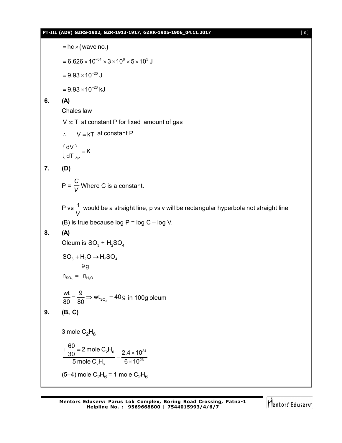#### **PT-III (ADV) GZRS-1902, GZR-1913-1917, GZRK-1905-1906\_04.11.2017** [ **3** ]



$$
= 6.626 \times 10^{-34} \times 3 \times 10^8 \times 5 \times 10^5 \text{ J}
$$

 $= 9.93 \times 10^{-20}$  J

 $= 9.93 \times 10^{-23}$  kJ

#### **6. (A)**

Chales law

 $V \propto T$  at constant P for fixed amount of gas

$$
\therefore \qquad V = kT \text{ at constant } P
$$

$$
\left(\frac{dV}{dT}\right)_P = K
$$

**7. (D)**

 $P = \frac{1}{V}$ *C* Where C is a constant.

P vs *V*  $\frac{1}{\text{ } }$  would be a straight line, p vs v will be rectangular hyperbola not straight line (B) is true because log  $P = log C - log V$ .

#### **8. (A)**

Oleum is  $\mathsf{SO}_3^+$  +  $\mathsf{H}_2\mathsf{SO}_4^+$ 

$$
\text{SO}_3 + \text{H}_2\text{O} \rightarrow \text{H}_2\text{SO}_4
$$

$$
9g
$$

 $n_{SO_3} = n_{H_2O}$ 

$$
\frac{wt}{80} = \frac{9}{80} \Rightarrow wt_{so_3} = 40g \text{ in } 100g \text{ oleum}
$$

$$
9. \qquad (B, C)
$$

3 mole  $C_2H_6$ 

$$
+\frac{60}{30} = 2 \text{ mole C}_2 H_6
$$
  

$$
-\frac{2.4 \times 10^{24}}{2.4 \times 10^{23}}
$$

 $_{2}H_{6}$  6  $\times$  10<sup>23</sup> 5 mole  $\text{C}_2\text{H}_{\text{6}}$  6  $\times$  10  $\times$ (5–4) mole  $\rm C_2H_6$  = 1 mole  $\rm C_2H_6$ 

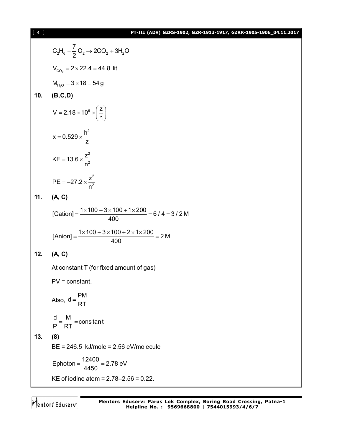#### [ **4** ] **PT-III (ADV) GZRS-1902, GZR-1913-1917, GZRK-1905-1906\_04.11.2017**

C<sub>2</sub>H<sub>6</sub> + 
$$
\frac{7}{2}
$$
O<sub>2</sub> → 2CO<sub>2</sub> + 3H<sub>2</sub>O  
\nV<sub>CO<sub>2</sub></sub> = 2×22.4 = 44.8 lit  
\nM<sub>H<sub>2</sub>O</sub> = 3×18 = 54 g  
\n10. (B,C,D)  
\nV = 2.18×10<sup>6</sup> ×  $\left(\frac{z}{h}\right)$   
\n $x = 0.529 × \frac{h^2}{z}$   
\nKE = 13.6 ×  $\frac{z^2}{n^2}$   
\nPE = -27.2 ×  $\frac{z^2}{n^2}$   
\n11. (A, C)  
\n[Cation] =  $\frac{1 \times 100 + 3 \times 100 + 1 \times 200}{400} = 6/4 = 3/2 M$   
\n[Anion] =  $\frac{1 \times 100 + 3 \times 100 + 2 \times 1 \times 200}{400} = 2 M$   
\n12. (A, C)  
\nAt constant T (for fixed amount of gas)  
\nPV = constant.  
\nAlso, d =  $\frac{PM}{RT}$   
\n $\frac{d}{P} = \frac{M}{RT}$  = constant  
\n13. (8)  
\nBE = 246.5 kJ/mole = 2.56 eV/molecule  
\nEphoton =  $\frac{12400}{4450}$  = 2.78 eV  
\nKE of iodine atom = 2.78-2.56 = 0.22.

Mentors<sup>e</sup> Eduserv<sup>-</sup>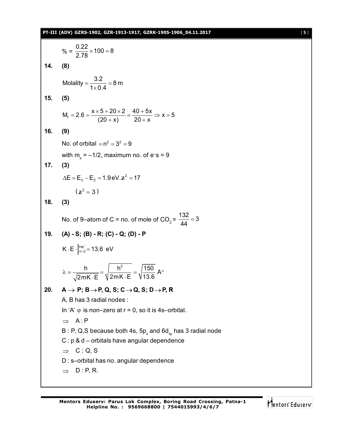# **PT-III (ADV) GZRS-1902, GZR-1913-1917, GZRK-1905-1906\_04.11.2017** [ **5** ]

$$
\% = \frac{0.22}{2.78} \times 100 = 8
$$
\n14. (8)  
\nMolality =  $\frac{3.2}{1 \times 0.4} = 8$  m  
\n15. (5)  
\n $M_f = 2.6 = \frac{x \times 5 + 20 \times 2}{(20 + x)} = \frac{40 + 5x}{20 + x} \Rightarrow x = 5$   
\n16. (9)  
\nNo. of orbital =  $n^2 = 3^2 = 9$   
\nwith  $m_s = -1/2$ , maximum no. of  $e = 9$   
\n17. (3)  
\n $\Delta E = E_3 - E_2 = 1.9eV \cdot z^2 = 17$   
\n $(z^2 = 3)$   
\n18. (3)  
\nNo. of 9–atom of C = no. of mole of CO<sub>2</sub> =  $\frac{132}{44} = 3$   
\n19. (A) - S; (B) - R; (C) - Q; (D) - P  
\nK · E  $\vert_{n=2}^{1/e^-} = 13.6$  eV  
\n $\lambda = \frac{h}{\sqrt{2mK \cdot E}} = \sqrt{\frac{h^2}{2mK \cdot E}} = \sqrt{\frac{150}{13.6}} A^\circ$   
\n20. A → P; B → P, Q, S; C → Q, S; D → P, R  
\nA, B has 3 radial nodes :  
\nIn 'A' φ is non-zero at r = 0, so it is 4s–orbital.  
\n⇒ A : P  
\nB : P, Q, S because both 4s, 5p<sub>x</sub> and 6d<sub>xy</sub> has 3 radial node  
\nC : p & d – orbitals have angular dependence  
\n⇒ C : Q, S  
\nD : S – orbital has no. angular dependence  
\n⇒ D : P, R.

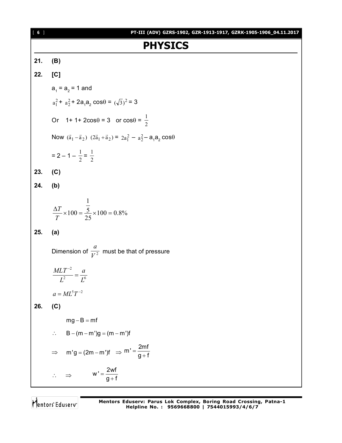## [ **6** ] **PT-III (ADV) GZRS-1902, GZR-1913-1917, GZRK-1905-1906\_04.11.2017 PHYSICS 21. (B) 22. [C]**  $a_{_1}$  =  $a_{_2}$  = 1 and  $a_1^2$  +  $a_2^2$  + 2a<sub>1</sub>a<sub>2</sub> cos $\theta = (\sqrt{3})^2$  = 3 Or 1+1+2cos $\theta = 3$  or cos $\theta = \frac{1}{2}$ Now  $(\vec{a}_1 - \vec{a}_2)$   $(2\vec{a}_1 + \vec{a}_2) = 2a_1^2 - a_2^2 - a_1a_2 \cos\theta$  $= 2 - 1 - \frac{1}{2}$  $\frac{1}{2} = \frac{1}{2}$ 1 **23. (C) 24. (b)**  $100 = 0.8\%$ 25 5 1  $\frac{\Delta T}{T} \times 100 = \frac{5}{25} \times 100 =$ *T T* **25. (a)** Dimension of  $\frac{1}{V^2}$ *a* must be that of pressure 2  $I^6$ 2 *L a L*  $\frac{MLT^{-2}}{L^2}$  =  $a = ML^{5}T^{-2}$ **26. (C)**  $mg - B = mf$  $\therefore$  B – (m – m')g = (m – m')f  $\Rightarrow$  m'g = (2m – m')f  $\Rightarrow$  m' =  $\frac{2<sup>mt</sup>}{n+1}$ g + f  $=$  $\ddot{}$  $\therefore \Rightarrow$   $W' = \frac{2wt}{g+1}$  $g + f$  $=$  $\ddot{}$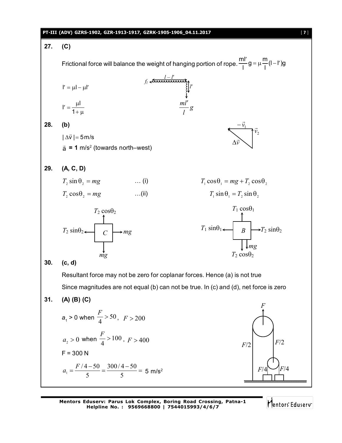|     | PT-III (ADV) GZRS-1902, GZR-1913-1917, GZRK-1905-1906_04.11.2017                                                     | $[7]$ |
|-----|----------------------------------------------------------------------------------------------------------------------|-------|
| 27. | (C)                                                                                                                  |       |
|     | Frictional force will balance the weight of hanging portion of rope. $\frac{m l'}{l} g = \mu \frac{m}{l} (l - l') g$ |       |
|     |                                                                                                                      |       |
|     | $f_i \xleftarrow{\frac{t-t}{t}}$<br>$\downarrow$<br>$\downarrow$<br>$\frac{ml'}{s}g$                                 |       |
|     | $I' = \mu I - \mu I'$<br>$I' = \frac{\mu I}{1 + \mu}$                                                                |       |
| 28. | (b)                                                                                                                  |       |
|     |                                                                                                                      |       |
|     | $ \Delta \vec{v} $ = 5 m/s                                                                                           |       |
|     | $\vec{a}$ = 1 m/s <sup>2</sup> (towards north–west)                                                                  |       |
|     |                                                                                                                      |       |
| 29. | (A, C, D)                                                                                                            |       |
|     | $T_2 \sin \theta_2 = mg$ (i)<br>$T_1 \cos\theta_1 = mg + T_2 \cos\theta_2$                                           |       |
|     | $T_2 \cos \theta_2 = mg$ (ii)<br>$T_1 \sin \theta_1 = T_2 \sin \theta_2$                                             |       |
|     | $T_1 \cos\theta_1$<br>$T_2 \cos \theta_2$                                                                            |       |
|     | $T_1 \sin\theta_1$ $\leftarrow$ $B$ $\rightarrow$ $T_2 \sin\theta_2$                                                 |       |
|     | $T_2 \sin \theta_2 \leftarrow C$ $\rightarrow mg$                                                                    |       |
|     |                                                                                                                      |       |
|     | $T_2 \cos \theta_2$<br>mg                                                                                            |       |
| 30. | (c, d)                                                                                                               |       |
|     | Resultant force may not be zero for coplanar forces. Hence (a) is not true                                           |       |
|     | Since magnitudes are not equal (b) can not be true. In (c) and (d), net force is zero                                |       |
| 31. | $(A)$ $(B)$ $(C)$                                                                                                    |       |
|     |                                                                                                                      |       |
|     | $a_1 > 0$ when $\frac{F}{4} > 50$ , $F > 200$                                                                        |       |
|     |                                                                                                                      |       |
|     | $a_2 > 0$ when $\frac{F}{4} > 100$ , $F > 400$<br>F/2<br>F/2                                                         |       |
|     | $F = 300 N$                                                                                                          |       |
|     | $a_1 = \frac{F/4 - 50}{5} = \frac{300/4 - 50}{5} = 5$ m/s <sup>2</sup><br>F/4<br>F/4<br>7777                         |       |
|     |                                                                                                                      |       |

Mentors<sup>e</sup> Eduserv<sup>-</sup>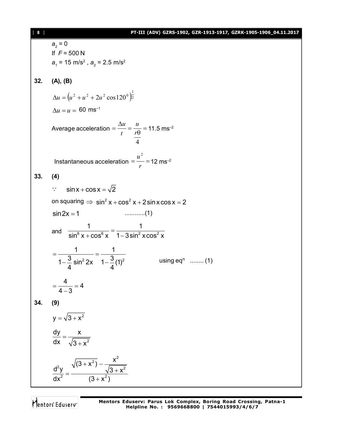#### [ **8** ] **PT-III (ADV) GZRS-1902, GZR-1913-1917, GZRK-1905-1906\_04.11.2017**

*a*<sub>2</sub> = 0 If *F* = 500 N  $a_1$  = 15 m/s<sup>2</sup> ,  $a_2$  = 2.5 m/s<sup>2</sup> **32. (A), (B)**  $(u^2 + u^2 + 2u^2 \cos 120^\circ)^2$  $\Delta u = (u^2 + u^2 + 2u^2 \cos 120^\circ)^{\frac{1}{2}}$  $\Delta u = u = 60$  ms<sup>-1</sup> Average acceleration  $=$   $\frac{\Delta u}{t}$   $=$   $\frac{u}{r\theta}$   $=$ 4 *r u t u*  $11.5 \text{ ms}^{-2}$ Instantaneous acceleration  $=\frac{u}{x}$ *r u* 2  $12 \text{ ms}^{-2}$ **33. (4)**  $\therefore$  sin x + cos x =  $\sqrt{2}$ on squaring  $\Rightarrow$   $\sin^2 x + \cos^2 x + 2\sin x \cos x = 2$ sin2x 1 ............(1) and  $\frac{1}{\sin^6 x + \cos^6 x} = \frac{1}{1 - 3\sin^2 x \cos^2 x}$ 1 1  $\sin^6 x + \cos^6 x$  1-3sin<sup>2</sup> xcos<sup>2</sup> x  $=\frac{1}{2}$  = - $-\frac{3}{4}$  sin<sup>2</sup> 2x 1- $\frac{3}{4}$ (1)<sup>2</sup> 1 1  $1 - \frac{3}{4} \sin^2 2x \quad 1 - \frac{3}{4}$ (1) 4 4 using  $eq^n$  ........ (1)  $=\frac{1}{1}$  = 4 - $\frac{4}{2}$  = 4  $4 - 3$ **34. (9)**  $y = \sqrt{3} + x^2$  $=$  $+ x^2$ dy x dx  $\sqrt{3+x^2}$  $+ x<sup>2</sup>$ ) – –  $=\frac{\sqrt{3}+}{\sqrt{3}+2}$  $\ddag$  $\overline{z_1}$   $x^2$  $2\mathsf{v}$   $\sqrt{2}$   $\mathsf{v}^2$ 2  $(2 + x^2)$  $\frac{1}{(3+x^2)} - \frac{x}{x^2}$  $d^2y =$   $\sqrt{3} + x^2$ dx<sup>2</sup>  $(3 + x^2)$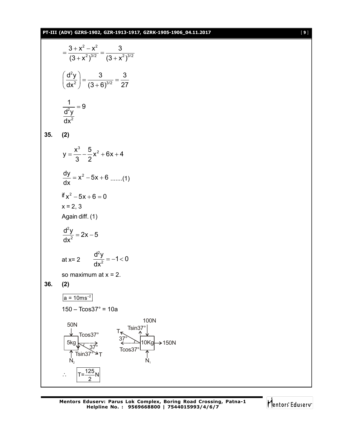#### **PT-III (ADV) GZRS-1902, GZR-1913-1917, GZRK-1905-1906\_04.11.2017** [ **9** ]

$$
= \frac{3 + x^2 - x^2}{(3 + x^2)^{3/2}} = \frac{3}{(3 + x^2)^{3/2}}
$$
\n
$$
\left(\frac{d^2y}{dx^2}\right) = \frac{3}{(3 + 6)^{3/2}} = \frac{3}{27}
$$
\n
$$
\frac{1}{dx^2} = 9
$$
\n
$$
\frac{d^2y}{dx^2} = 9
$$
\n35. (2)\n
$$
y = \frac{x^3}{3} - \frac{5}{2}x^2 + 6x + 4
$$
\n
$$
\frac{dy}{dx} = x^2 - 5x + 6 \quad \dots (1)
$$
\nif  $x^2 - 5x + 6 = 0$   
\n $x = 2, 3$   
\nAgain diff. (1)\n
$$
\frac{d^2y}{dx^2} = 2x - 5
$$
\nat  $x = 2$ \n
$$
\frac{d^2y}{dx^2} = -1 < 0
$$
\nso maximum at  $x = 2$ .\n36. (2)\n
$$
\frac{a = 10ms^{-2}}{a = 10ms^{-2}}
$$
\n150 - Tcos37° = 10a\n50N\n
$$
\frac{100N}{5kq} \frac{7s}{37}
$$
\n
$$
\frac{7s}{5kq} \times \frac{37s}{37}
$$
\n
$$
\frac{7s}{100Kq} \to 150N
$$
\n
$$
\frac{1}{N_2} \cdot \frac{10Kq}{10Kq} \to 150N
$$

Mentors<sup>e</sup> Eduserv<sup>-</sup>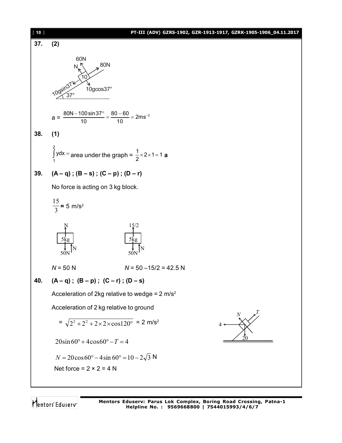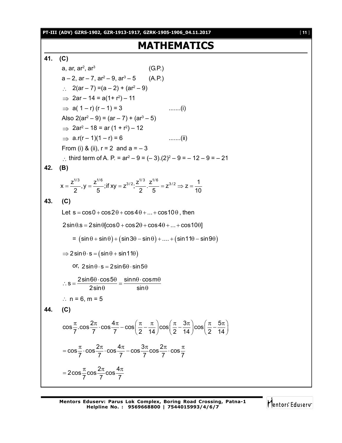**PT-III (ADV) GZRS-1902, GZR-1913-1917, GZRK-1905-1906\_04.11.2017** [ **11** ]

# **MATHEMATICS**

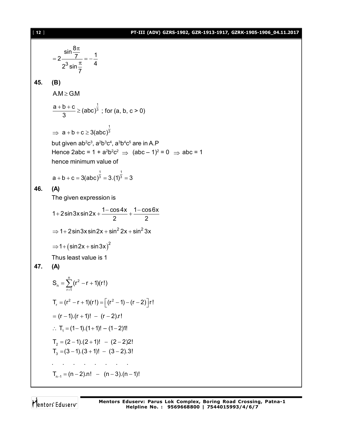#### [ **12** ] **PT-III (ADV) GZRS-1902, GZR-1913-1917, GZRK-1905-1906\_04.11.2017**

3  $\frac{\sin \frac{8\pi}{7}}{2 \frac{1}{2}} = -\frac{1}{4}$  $2^3 \sin \frac{\pi}{7}$  4 7  $\pi$  $=2\frac{1}{2^3\sin\pi}=-\frac{1}{4}$ **45. (B)**  $AM > GM$ 1  $\frac{a+b+c}{2} \geq (abc)^{\frac{1}{3}}$ 3  $\frac{+b+c}{2}$  ≥ (abc)<sup>3</sup>; for (a, b, c > 0)  $\Rightarrow$ 1  $a + b + c \geq 3$ (abc)<sup>3</sup> but given ab²c<sup>3</sup>, a<sup>2</sup>b३c<sup>4</sup>, a<sup>3</sup>b4c<sup>5</sup> are in A.P Hence 2abc = 1 + a<sup>2</sup>b<sup>2</sup>c<sup>2</sup>  $\Rightarrow$  (abc – 1)<sup>2</sup> = 0  $\Rightarrow$  abc = 1 hence minimum value of 1 1  $a + b + c = 3(abc)^3 = 3.(1)^3 = 3$ **46. (A)** The given expression is 1 + 2sin 3xsin 2x +  $\frac{1-\cos 4x}{2}$  +  $\frac{1-\cos 6x}{2}$ 2 2 + 2 sin 3 x sin 2 x +  $\frac{1-\cos 4x}{2}$  +  $\frac{1-6}{5}$  $\Rightarrow$  1+2sin3xsin2x + sin<sup>2</sup> 2x + sin<sup>2</sup> 3x  $\Rightarrow$  1 + (sin 2x + sin 3x)<sup>2</sup> Thus least value is 1 **47. (A)**  $\frac{n}{2}$ /r<sup>2</sup> n  $\overline{C}$  $S_n = \sum (r^2 - r + 1)(r!)$  $=\sum_{r=1} (r^2 - r + 1)$  $T_r = (r^2 - r + 1)(r!) = [(r^2 - 1) - (r - 2)]r!$  $= (r - 1) \cdot (r + 1)! - (r - 2) \cdot r!$  $\therefore$  T<sub>1</sub> = (1-1).(1+1)! – (1-2)1!  $T_2 = (2-1)(2+1)! - (2-2)2!$  $T_3 = (3 - 1)(3 + 1)! - (3 - 2).3!$ . . . . . . . .  $T_{n-1} = (n-2) \cdot n! - (n-3) \cdot (n-1)!$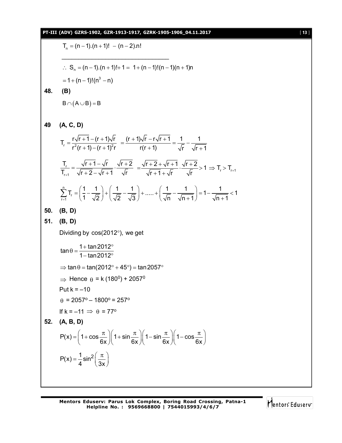T<sub>n</sub> = (n-1).(n+1)! – (n-2).n!  
\n∴ S<sub>n</sub> = (n-1).(n+1)!+1= 1+(n-1)!(n-1)(n+1)n  
\n= 1+(n-1)!(n<sup>3</sup> - n)  
\n48. **(B)**  
\nB∩(A∪B) = B  
\n49 **(A, C, D)**  
\nT<sub>r</sub> = 
$$
\frac{r\sqrt{r+1}-(r+1)\sqrt{r}}{r^2(r+1)-(r+1)^2r} = \frac{(r+1)\sqrt{r}-r\sqrt{r+1}}{r(r+1)} = \frac{1}{\sqrt{r}} - \frac{1}{\sqrt{r+1}}
$$
  
\n $\frac{T_r}{T_{r+1}} = \frac{\sqrt{r+1}-\sqrt{r}}{\sqrt{r+2}-\sqrt{r+1}} \cdot \frac{\sqrt{r+2}}{\sqrt{r}} = \frac{\sqrt{r+2}+\sqrt{r+1}}{\sqrt{r+1}+\sqrt{r}} \cdot \frac{\sqrt{r+2}}{\sqrt{r}} > 1 \Rightarrow T_r > T_{r+1}$   
\n $\sum_{r=1}^{n} T_r = (\frac{1}{1} - \frac{1}{\sqrt{2}}) + (\frac{1}{\sqrt{2}} - \frac{1}{\sqrt{3}}) + \dots + (\frac{1}{\sqrt{n}} - \frac{1}{\sqrt{n+1}}) = 1 - \frac{1}{\sqrt{n+1}} < 1$   
\n50. **(B, D)**  
\n51. **(B, D)**  
\nDividing by cos(2012°), we get  
\n $\tan \theta = \frac{1 + \tan 2012^{\circ}}{1 - \tan 2012^{\circ}}$   
\n $\Rightarrow \tan \theta = \tan (2012^{\circ} + 45^{\circ}) = \tan 2057^{\circ}$   
\n $\Rightarrow$  Hence  $\theta = k (180^{\circ}) + 2057^{\circ}$   
\nPut  $k = -10$   
\n $\theta = 2057^{\circ} - 1800^{\circ} = 257^{\circ}$   
\nIf  $k = -11 \Rightarrow \theta = 77^{\circ}$   
\n52. **(A, B, D)**  
\n $P(x) = (1 + \cos \frac{\pi}{6x})(1 + \sin \frac{\pi}{6x})(1 - \sin \frac{\pi$ 

Mentors<sup>e</sup> Eduserv<sup>-</sup>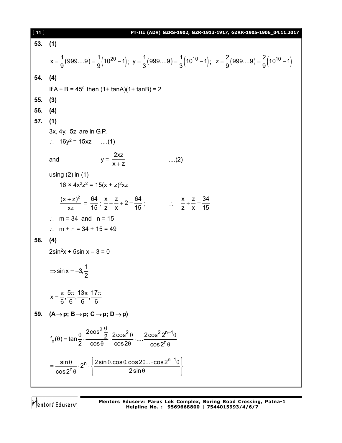| $53.$ (1) |                                                                                                                                                                                          |
|-----------|------------------------------------------------------------------------------------------------------------------------------------------------------------------------------------------|
|           |                                                                                                                                                                                          |
|           | $x = \frac{1}{9}(9999) = \frac{1}{9}(10^{20} - 1); y = \frac{1}{3}(9999) = \frac{1}{3}(10^{10} - 1); z = \frac{2}{9}(9999) = \frac{2}{9}(10^{10} - 1)$                                   |
| 54.       | (4)                                                                                                                                                                                      |
|           | If $A + B = 45^{\circ}$ then $(1 + \tan A)(1 + \tan B) = 2$                                                                                                                              |
| 55.       | (3)                                                                                                                                                                                      |
| 56.       | (4)                                                                                                                                                                                      |
| 57.       | (1)                                                                                                                                                                                      |
|           | 3x, 4y, 5z are in G.P.                                                                                                                                                                   |
|           | $\therefore$ 16y <sup>2</sup> = 15xz (1)                                                                                                                                                 |
|           | $y = \frac{2xz}{x + z}$<br>$\dots(2)$<br>and                                                                                                                                             |
|           | using $(2)$ in $(1)$<br>$16 \times 4x^2z^2 = 15(x + z)^2xz$                                                                                                                              |
|           | $\frac{(x + z)^2}{z^2} = \frac{64}{15}$ ; $\frac{x}{7} + \frac{z}{x} + 2 = \frac{64}{15}$ ; $\therefore \frac{x}{7} + \frac{z}{x} = \frac{34}{15}$                                       |
|           | : $m = 34$ and $n = 15$                                                                                                                                                                  |
|           | : $m + n = 34 + 15 = 49$                                                                                                                                                                 |
| 58.       | (4)                                                                                                                                                                                      |
|           | $2\sin^2 x + 5\sin x - 3 = 0$                                                                                                                                                            |
|           | $\Rightarrow$ sin x = -3, $\frac{1}{2}$                                                                                                                                                  |
|           | $x = \frac{\pi}{6}, \frac{5\pi}{6}, \frac{13\pi}{6}, \frac{17\pi}{6}$                                                                                                                    |
| 59.       | $(A \rightarrow p; B \rightarrow p; C \rightarrow p; D \rightarrow p)$                                                                                                                   |
|           | $f_n(\theta) = \tan\frac{\theta}{2} \cdot \frac{2\cos^2\frac{\theta}{2}}{\cos\theta} \cdot \frac{2\cos^2\theta}{\cos 2\theta} \cdot  \cdot \frac{2\cos^2 2^{n-1}\theta}{\cos 2^n\theta}$ |
|           | $=\frac{\sin\theta}{\cos 2^n \theta} \cdot 2^n \cdot \left\{\frac{2\sin\theta \cdot \cos\theta \cdot \cos 2\theta \dots \cdot \cos 2^{n-1}\theta}{2\sin\theta}\right\}$                  |

Mentors<sup>®</sup> Eduserv<sup>®</sup>